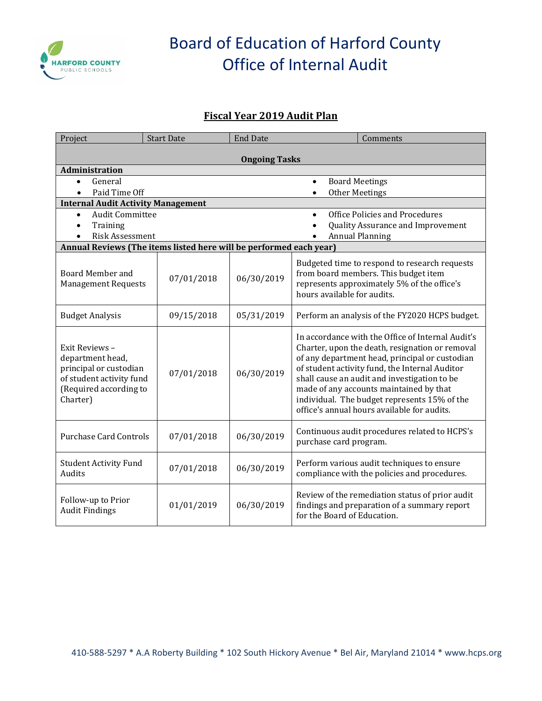

# Board of Education of Harford County Office of Internal Audit

#### **Fiscal Year 2019 Audit Plan**

| Project                                                                                                                        | <b>Start Date</b> | <b>End Date</b> | Comments                                                                                                                                                                                                                                                                                                                                                                                           |  |  |  |
|--------------------------------------------------------------------------------------------------------------------------------|-------------------|-----------------|----------------------------------------------------------------------------------------------------------------------------------------------------------------------------------------------------------------------------------------------------------------------------------------------------------------------------------------------------------------------------------------------------|--|--|--|
| <b>Ongoing Tasks</b>                                                                                                           |                   |                 |                                                                                                                                                                                                                                                                                                                                                                                                    |  |  |  |
| Administration                                                                                                                 |                   |                 |                                                                                                                                                                                                                                                                                                                                                                                                    |  |  |  |
| General<br>$\bullet$                                                                                                           |                   |                 | <b>Board Meetings</b><br>$\bullet$                                                                                                                                                                                                                                                                                                                                                                 |  |  |  |
| Paid Time Off<br>$\bullet$                                                                                                     |                   |                 | Other Meetings<br>$\bullet$                                                                                                                                                                                                                                                                                                                                                                        |  |  |  |
| <b>Internal Audit Activity Management</b>                                                                                      |                   |                 |                                                                                                                                                                                                                                                                                                                                                                                                    |  |  |  |
| <b>Audit Committee</b><br>$\bullet$                                                                                            |                   |                 | Office Policies and Procedures<br>$\bullet$                                                                                                                                                                                                                                                                                                                                                        |  |  |  |
| Training<br>$\bullet$                                                                                                          |                   |                 | Quality Assurance and Improvement<br>$\bullet$                                                                                                                                                                                                                                                                                                                                                     |  |  |  |
| Risk Assessment                                                                                                                |                   |                 | <b>Annual Planning</b>                                                                                                                                                                                                                                                                                                                                                                             |  |  |  |
| Annual Reviews (The items listed here will be performed each year)                                                             |                   |                 |                                                                                                                                                                                                                                                                                                                                                                                                    |  |  |  |
| <b>Board Member and</b><br><b>Management Requests</b>                                                                          | 07/01/2018        | 06/30/2019      | Budgeted time to respond to research requests<br>from board members. This budget item<br>represents approximately 5% of the office's<br>hours available for audits.                                                                                                                                                                                                                                |  |  |  |
| <b>Budget Analysis</b>                                                                                                         | 09/15/2018        | 05/31/2019      | Perform an analysis of the FY2020 HCPS budget.                                                                                                                                                                                                                                                                                                                                                     |  |  |  |
| Exit Reviews -<br>department head,<br>principal or custodian<br>of student activity fund<br>(Required according to<br>Charter) | 07/01/2018        | 06/30/2019      | In accordance with the Office of Internal Audit's<br>Charter, upon the death, resignation or removal<br>of any department head, principal or custodian<br>of student activity fund, the Internal Auditor<br>shall cause an audit and investigation to be<br>made of any accounts maintained by that<br>individual. The budget represents 15% of the<br>office's annual hours available for audits. |  |  |  |
| <b>Purchase Card Controls</b>                                                                                                  | 07/01/2018        | 06/30/2019      | Continuous audit procedures related to HCPS's<br>purchase card program.                                                                                                                                                                                                                                                                                                                            |  |  |  |
| <b>Student Activity Fund</b><br>Audits                                                                                         | 07/01/2018        | 06/30/2019      | Perform various audit techniques to ensure<br>compliance with the policies and procedures.                                                                                                                                                                                                                                                                                                         |  |  |  |
| Follow-up to Prior<br><b>Audit Findings</b>                                                                                    | 01/01/2019        | 06/30/2019      | Review of the remediation status of prior audit<br>findings and preparation of a summary report<br>for the Board of Education.                                                                                                                                                                                                                                                                     |  |  |  |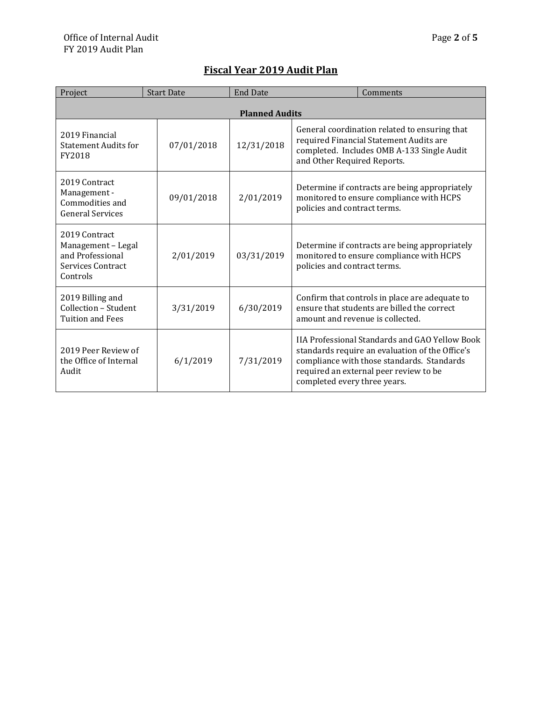| Project                                                                                  | <b>Start Date</b> | <b>End Date</b> | Comments                                                                                                                                                                                                                  |  |  |
|------------------------------------------------------------------------------------------|-------------------|-----------------|---------------------------------------------------------------------------------------------------------------------------------------------------------------------------------------------------------------------------|--|--|
| <b>Planned Audits</b>                                                                    |                   |                 |                                                                                                                                                                                                                           |  |  |
| 2019 Financial<br><b>Statement Audits for</b><br>FY2018                                  | 07/01/2018        | 12/31/2018      | General coordination related to ensuring that<br>required Financial Statement Audits are<br>completed. Includes OMB A-133 Single Audit<br>and Other Required Reports.                                                     |  |  |
| 2019 Contract<br>Management -<br>Commodities and<br><b>General Services</b>              | 09/01/2018        | 2/01/2019       | Determine if contracts are being appropriately<br>monitored to ensure compliance with HCPS<br>policies and contract terms.                                                                                                |  |  |
| 2019 Contract<br>Management - Legal<br>and Professional<br>Services Contract<br>Controls | 2/01/2019         | 03/31/2019      | Determine if contracts are being appropriately<br>monitored to ensure compliance with HCPS<br>policies and contract terms.                                                                                                |  |  |
| 2019 Billing and<br>Collection - Student<br><b>Tuition and Fees</b>                      | 3/31/2019         | 6/30/2019       | Confirm that controls in place are adequate to<br>ensure that students are billed the correct<br>amount and revenue is collected.                                                                                         |  |  |
| 2019 Peer Review of<br>the Office of Internal<br>Audit                                   | 6/1/2019          | 7/31/2019       | IIA Professional Standards and GAO Yellow Book<br>standards require an evaluation of the Office's<br>compliance with those standards. Standards<br>required an external peer review to be<br>completed every three years. |  |  |

### **Fiscal Year 2019 Audit Plan**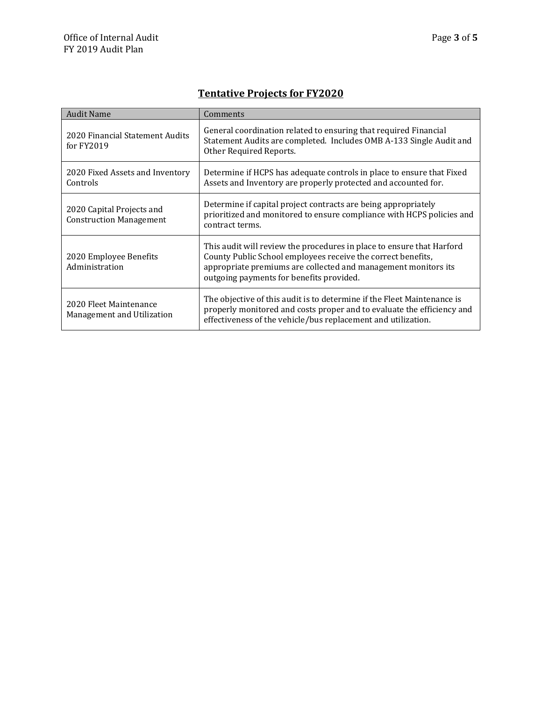## **Tentative Projects for FY2020**

| <b>Audit Name</b>                                           | Comments                                                                                                                                                                                                                                            |
|-------------------------------------------------------------|-----------------------------------------------------------------------------------------------------------------------------------------------------------------------------------------------------------------------------------------------------|
| 2020 Financial Statement Audits<br>for FY2019               | General coordination related to ensuring that required Financial<br>Statement Audits are completed. Includes OMB A-133 Single Audit and<br>Other Required Reports.                                                                                  |
| 2020 Fixed Assets and Inventory<br>Controls                 | Determine if HCPS has adequate controls in place to ensure that Fixed<br>Assets and Inventory are properly protected and accounted for.                                                                                                             |
| 2020 Capital Projects and<br><b>Construction Management</b> | Determine if capital project contracts are being appropriately<br>prioritized and monitored to ensure compliance with HCPS policies and<br>contract terms.                                                                                          |
| 2020 Employee Benefits<br>Administration                    | This audit will review the procedures in place to ensure that Harford<br>County Public School employees receive the correct benefits,<br>appropriate premiums are collected and management monitors its<br>outgoing payments for benefits provided. |
| 2020 Fleet Maintenance<br>Management and Utilization        | The objective of this audit is to determine if the Fleet Maintenance is<br>properly monitored and costs proper and to evaluate the efficiency and<br>effectiveness of the vehicle/bus replacement and utilization.                                  |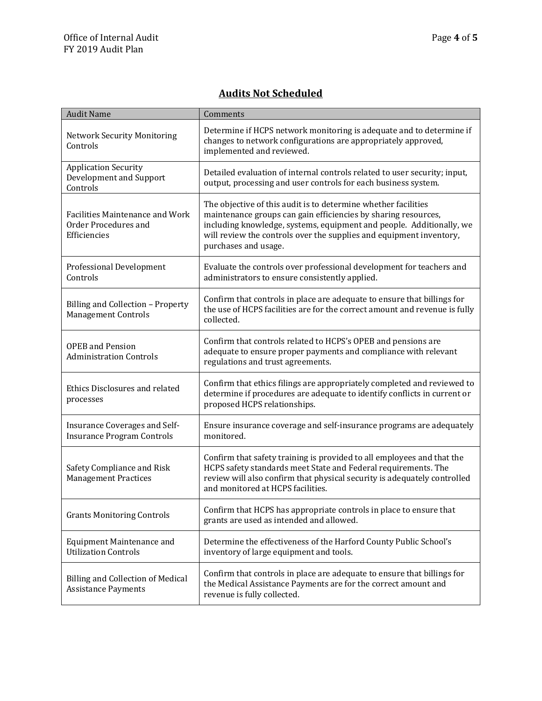#### **Audits Not Scheduled**

| <b>Audit Name</b>                                                       | Comments                                                                                                                                                                                                                                                                                                |
|-------------------------------------------------------------------------|---------------------------------------------------------------------------------------------------------------------------------------------------------------------------------------------------------------------------------------------------------------------------------------------------------|
| <b>Network Security Monitoring</b><br>Controls                          | Determine if HCPS network monitoring is adequate and to determine if<br>changes to network configurations are appropriately approved,<br>implemented and reviewed.                                                                                                                                      |
| <b>Application Security</b><br>Development and Support<br>Controls      | Detailed evaluation of internal controls related to user security; input,<br>output, processing and user controls for each business system.                                                                                                                                                             |
| Facilities Maintenance and Work<br>Order Procedures and<br>Efficiencies | The objective of this audit is to determine whether facilities<br>maintenance groups can gain efficiencies by sharing resources,<br>including knowledge, systems, equipment and people. Additionally, we<br>will review the controls over the supplies and equipment inventory,<br>purchases and usage. |
| <b>Professional Development</b><br>Controls                             | Evaluate the controls over professional development for teachers and<br>administrators to ensure consistently applied.                                                                                                                                                                                  |
| Billing and Collection - Property<br><b>Management Controls</b>         | Confirm that controls in place are adequate to ensure that billings for<br>the use of HCPS facilities are for the correct amount and revenue is fully<br>collected.                                                                                                                                     |
| <b>OPEB</b> and Pension<br><b>Administration Controls</b>               | Confirm that controls related to HCPS's OPEB and pensions are<br>adequate to ensure proper payments and compliance with relevant<br>regulations and trust agreements.                                                                                                                                   |
| Ethics Disclosures and related<br>processes                             | Confirm that ethics filings are appropriately completed and reviewed to<br>determine if procedures are adequate to identify conflicts in current or<br>proposed HCPS relationships.                                                                                                                     |
| Insurance Coverages and Self-<br><b>Insurance Program Controls</b>      | Ensure insurance coverage and self-insurance programs are adequately<br>monitored.                                                                                                                                                                                                                      |
| Safety Compliance and Risk<br><b>Management Practices</b>               | Confirm that safety training is provided to all employees and that the<br>HCPS safety standards meet State and Federal requirements. The<br>review will also confirm that physical security is adequately controlled<br>and monitored at HCPS facilities.                                               |
| <b>Grants Monitoring Controls</b>                                       | Confirm that HCPS has appropriate controls in place to ensure that<br>grants are used as intended and allowed.                                                                                                                                                                                          |
| Equipment Maintenance and<br><b>Utilization Controls</b>                | Determine the effectiveness of the Harford County Public School's<br>inventory of large equipment and tools.                                                                                                                                                                                            |
| <b>Billing and Collection of Medical</b><br><b>Assistance Payments</b>  | Confirm that controls in place are adequate to ensure that billings for<br>the Medical Assistance Payments are for the correct amount and<br>revenue is fully collected.                                                                                                                                |